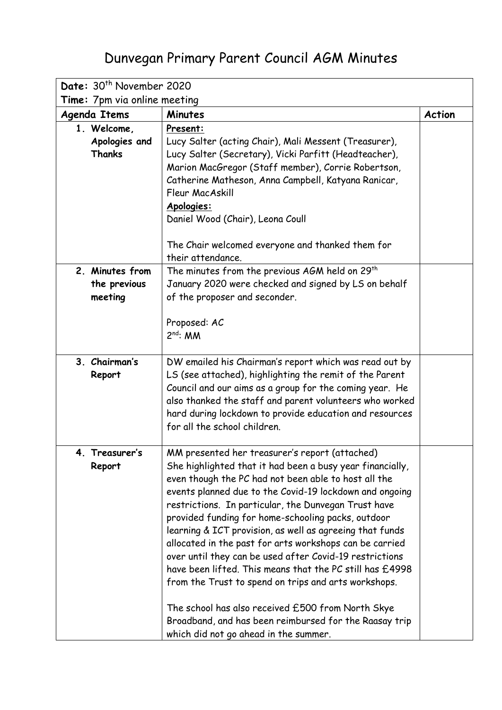## Dunvegan Primary Parent Council AGM Minutes

| Date: 30 <sup>th</sup> November 2020 |                                                                                                             |               |  |
|--------------------------------------|-------------------------------------------------------------------------------------------------------------|---------------|--|
| Time: 7pm via online meeting         |                                                                                                             |               |  |
| <b>Agenda Items</b>                  | <b>Minutes</b>                                                                                              | <b>Action</b> |  |
| 1. Welcome,                          | Present:                                                                                                    |               |  |
| Apologies and                        | Lucy Salter (acting Chair), Mali Messent (Treasurer),                                                       |               |  |
| Thanks                               | Lucy Salter (Secretary), Vicki Parfitt (Headteacher),                                                       |               |  |
|                                      | Marion MacGregor (Staff member), Corrie Robertson,                                                          |               |  |
|                                      | Catherine Matheson, Anna Campbell, Katyana Ranicar,                                                         |               |  |
|                                      | Fleur MacAskill                                                                                             |               |  |
|                                      | Apologies:                                                                                                  |               |  |
|                                      | Daniel Wood (Chair), Leona Coull                                                                            |               |  |
|                                      |                                                                                                             |               |  |
|                                      | The Chair welcomed everyone and thanked them for<br>their attendance.                                       |               |  |
| 2. Minutes from                      | The minutes from the previous AGM held on 29 <sup>th</sup>                                                  |               |  |
| the previous                         | January 2020 were checked and signed by LS on behalf                                                        |               |  |
| meeting                              | of the proposer and seconder.                                                                               |               |  |
|                                      |                                                                                                             |               |  |
|                                      | Proposed: AC                                                                                                |               |  |
|                                      | $2^{nd}$ : MM                                                                                               |               |  |
|                                      |                                                                                                             |               |  |
| 3. Chairman's                        | DW emailed his Chairman's report which was read out by                                                      |               |  |
| Report                               | LS (see attached), highlighting the remit of the Parent                                                     |               |  |
|                                      | Council and our aims as a group for the coming year. He                                                     |               |  |
|                                      | also thanked the staff and parent volunteers who worked                                                     |               |  |
|                                      | hard during lockdown to provide education and resources                                                     |               |  |
|                                      | for all the school children.                                                                                |               |  |
|                                      |                                                                                                             |               |  |
| 4.<br>Treasurer's<br>Report          | MM presented her treasurer's report (attached)<br>She highlighted that it had been a busy year financially, |               |  |
|                                      | even though the PC had not been able to host all the                                                        |               |  |
|                                      | events planned due to the Covid-19 lockdown and ongoing                                                     |               |  |
|                                      | restrictions. In particular, the Dunvegan Trust have                                                        |               |  |
|                                      | provided funding for home-schooling packs, outdoor                                                          |               |  |
|                                      | learning & ICT provision, as well as agreeing that funds                                                    |               |  |
|                                      | allocated in the past for arts workshops can be carried                                                     |               |  |
|                                      | over until they can be used after Covid-19 restrictions                                                     |               |  |
|                                      | have been lifted. This means that the PC still has £4998                                                    |               |  |
|                                      | from the Trust to spend on trips and arts workshops.                                                        |               |  |
|                                      | The school has also received £500 from North Skye                                                           |               |  |
|                                      | Broadband, and has been reimbursed for the Raasay trip                                                      |               |  |
|                                      | which did not go ahead in the summer.                                                                       |               |  |